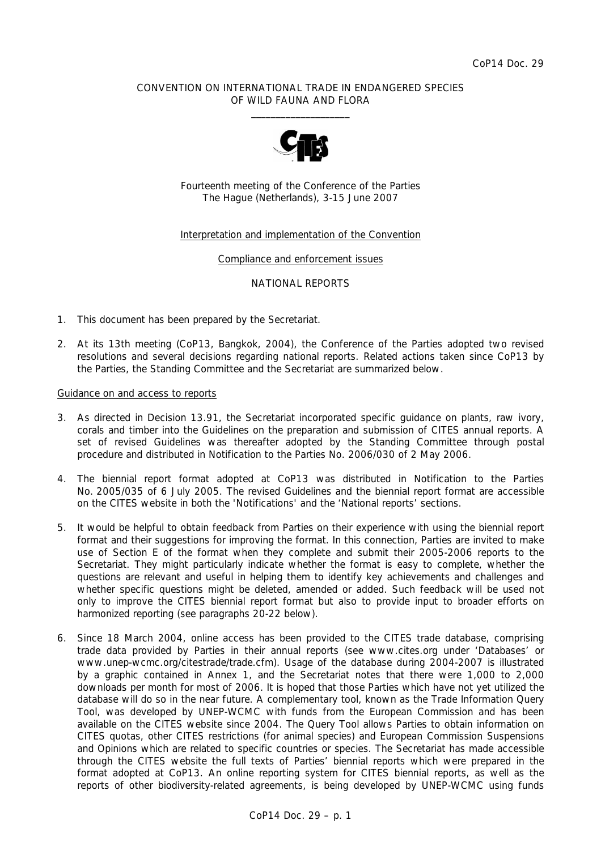## CONVENTION ON INTERNATIONAL TRADE IN ENDANGERED SPECIES OF WILD FAUNA AND FLORA  $\frac{1}{2}$  , and the set of the set of the set of the set of the set of the set of the set of the set of the set of the set of the set of the set of the set of the set of the set of the set of the set of the set of the set



Fourteenth meeting of the Conference of the Parties The Hague (Netherlands), 3-15 June 2007

## Interpretation and implementation of the Convention

### Compliance and enforcement issues

### NATIONAL REPORTS

- 1. This document has been prepared by the Secretariat.
- 2. At its 13th meeting (CoP13, Bangkok, 2004), the Conference of the Parties adopted two revised resolutions and several decisions regarding national reports. Related actions taken since CoP13 by the Parties, the Standing Committee and the Secretariat are summarized below.

## Guidance on and access to reports

- 3. As directed in Decision 13.91, the Secretariat incorporated specific guidance on plants, raw ivory, corals and timber into the *Guidelines on the preparation and submission of CITES annual reports*. A set of revised *Guidelines* was thereafter adopted by the Standing Committee through postal procedure and distributed in Notification to the Parties No. 2006/030 of 2 May 2006.
- 4. The biennial report format adopted at CoP13 was distributed in Notification to the Parties No. 2005/035 of 6 July 2005. The revised *Guidelines* and the biennial report format are accessible on the CITES website in both the 'Notifications' and the 'National reports' sections.
- 5. It would be helpful to obtain feedback from Parties on their experience with using the biennial report format and their suggestions for improving the format. In this connection, Parties are invited to make use of Section E of the format when they complete and submit their 2005-2006 reports to the Secretariat. They might particularly indicate whether the format is easy to complete, whether the questions are relevant and useful in helping them to identify key achievements and challenges and whether specific questions might be deleted, amended or added. Such feedback will be used not only to improve the CITES biennial report format but also to provide input to broader efforts on harmonized reporting (see paragraphs 20-22 below).
- 6. Since 18 March 2004, online access has been provided to the CITES trade database, comprising trade data provided by Parties in their annual reports (see www.cites.org under 'Databases' or www.unep-wcmc.org/citestrade/trade.cfm). Usage of the database during 2004-2007 is illustrated by a graphic contained in Annex 1, and the Secretariat notes that there were 1,000 to 2,000 downloads per month for most of 2006. It is hoped that those Parties which have not yet utilized the database will do so in the near future. A complementary tool, known as the Trade Information Query Tool, was developed by UNEP-WCMC with funds from the European Commission and has been available on the CITES website since 2004. The Query Tool allows Parties to obtain information on CITES quotas, other CITES restrictions (for animal species) and European Commission Suspensions and Opinions which are related to specific countries or species. The Secretariat has made accessible through the CITES website the full texts of Parties' biennial reports which were prepared in the format adopted at CoP13. An online reporting system for CITES biennial reports, as well as the reports of other biodiversity-related agreements, is being developed by UNEP-WCMC using funds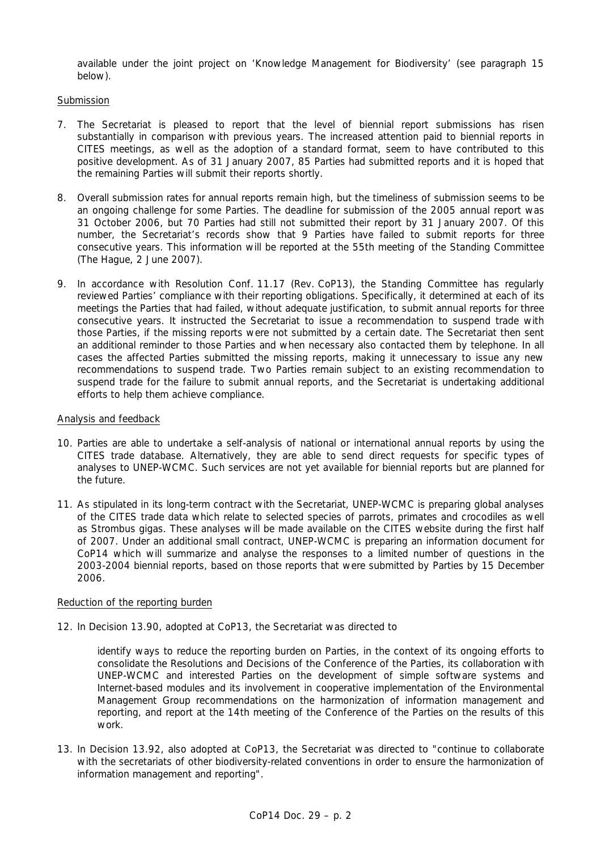available under the joint project on 'Knowledge Management for Biodiversity' (see paragraph 15 below).

## Submission

- 7. The Secretariat is pleased to report that the level of biennial report submissions has risen substantially in comparison with previous years. The increased attention paid to biennial reports in CITES meetings, as well as the adoption of a standard format, seem to have contributed to this positive development. As of 31 January 2007, 85 Parties had submitted reports and it is hoped that the remaining Parties will submit their reports shortly.
- 8. Overall submission rates for annual reports remain high, but the timeliness of submission seems to be an ongoing challenge for some Parties. The deadline for submission of the 2005 annual report was 31 October 2006, but 70 Parties had still not submitted their report by 31 January 2007. Of this number, the Secretariat's records show that 9 Parties have failed to submit reports for three consecutive years. This information will be reported at the 55th meeting of the Standing Committee (The Hague, 2 June 2007).
- 9. In accordance with Resolution Conf. 11.17 (Rev. CoP13), the Standing Committee has regularly reviewed Parties' compliance with their reporting obligations. Specifically, it determined at each of its meetings the Parties that had failed, without adequate justification, to submit annual reports for three consecutive years. It instructed the Secretariat to issue a recommendation to suspend trade with those Parties, if the missing reports were not submitted by a certain date. The Secretariat then sent an additional reminder to those Parties and when necessary also contacted them by telephone. In all cases the affected Parties submitted the missing reports, making it unnecessary to issue any new recommendations to suspend trade. Two Parties remain subject to an existing recommendation to suspend trade for the failure to submit annual reports, and the Secretariat is undertaking additional efforts to help them achieve compliance.

## Analysis and feedback

- 10. Parties are able to undertake a self-analysis of national or international annual reports by using the CITES trade database. Alternatively, they are able to send direct requests for specific types of analyses to UNEP-WCMC. Such services are not yet available for biennial reports but are planned for the future.
- 11. As stipulated in its long-term contract with the Secretariat, UNEP-WCMC is preparing global analyses of the CITES trade data which relate to selected species of parrots, primates and crocodiles as well as *Strombus gigas*. These analyses will be made available on the CITES website during the first half of 2007. Under an additional small contract, UNEP-WCMC is preparing an information document for CoP14 which will summarize and analyse the responses to a limited number of questions in the 2003-2004 biennial reports, based on those reports that were submitted by Parties by 15 December 2006.

## Reduction of the reporting burden

12. In Decision 13.90, adopted at CoP13, the Secretariat was directed to

 *identify ways to reduce the reporting burden on Parties, in the context of its ongoing efforts to consolidate the Resolutions and Decisions of the Conference of the Parties, its collaboration with UNEP-WCMC and interested Parties on the development of simple software systems and Internet-based modules and its involvement in cooperative implementation of the Environmental Management Group recommendations on the harmonization of information management and reporting, and report at the 14th meeting of the Conference of the Parties on the results of this work.* 

13. In Decision 13.92, also adopted at CoP13, the Secretariat was directed to "continue to collaborate with the secretariats of other biodiversity-related conventions in order to ensure the harmonization of information management and reporting".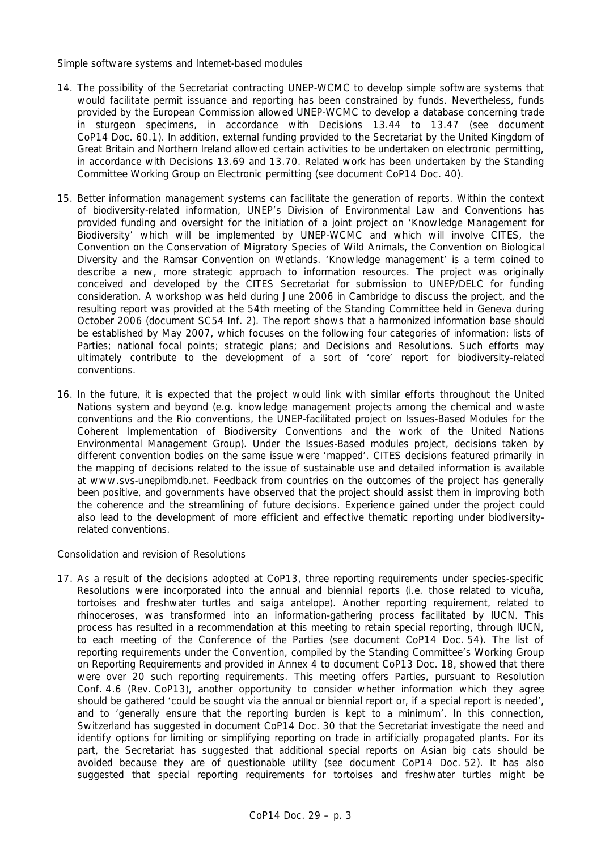## *Simple software systems and Internet-based modules*

- 14. The possibility of the Secretariat contracting UNEP-WCMC to develop simple software systems that would facilitate permit issuance and reporting has been constrained by funds. Nevertheless, funds provided by the European Commission allowed UNEP-WCMC to develop a database concerning trade in sturgeon specimens, in accordance with Decisions 13.44 to 13.47 (see document CoP14 Doc. 60.1). In addition, external funding provided to the Secretariat by the United Kingdom of Great Britain and Northern Ireland allowed certain activities to be undertaken on electronic permitting, in accordance with Decisions 13.69 and 13.70. Related work has been undertaken by the Standing Committee Working Group on Electronic permitting (see document CoP14 Doc. 40).
- 15. Better information management systems can facilitate the generation of reports. Within the context of biodiversity-related information, UNEP's Division of Environmental Law and Conventions has provided funding and oversight for the initiation of a joint project on 'Knowledge Management for Biodiversity' which will be implemented by UNEP-WCMC and which will involve CITES, the Convention on the Conservation of Migratory Species of Wild Animals, the Convention on Biological Diversity and the Ramsar Convention on Wetlands. 'Knowledge management' is a term coined to describe a new, more strategic approach to information resources. The project was originally conceived and developed by the CITES Secretariat for submission to UNEP/DELC for funding consideration. A workshop was held during June 2006 in Cambridge to discuss the project, and the resulting report was provided at the 54th meeting of the Standing Committee held in Geneva during October 2006 (document SC54 Inf. 2). The report shows that a harmonized information base should be established by May 2007, which focuses on the following four categories of information: lists of Parties; national focal points; strategic plans; and Decisions and Resolutions. Such efforts may ultimately contribute to the development of a sort of 'core' report for biodiversity-related conventions.
- 16. In the future, it is expected that the project would link with similar efforts throughout the United Nations system and beyond (e.g. knowledge management projects among the chemical and waste conventions and the Rio conventions, the UNEP-facilitated project on Issues-Based Modules for the Coherent Implementation of Biodiversity Conventions and the work of the United Nations Environmental Management Group). Under the Issues-Based modules project, decisions taken by different convention bodies on the same issue were 'mapped'. CITES decisions featured primarily in the mapping of decisions related to the issue of sustainable use and detailed information is available at www.svs-unepibmdb.net. Feedback from countries on the outcomes of the project has generally been positive, and governments have observed that the project should assist them in improving both the coherence and the streamlining of future decisions. Experience gained under the project could also lead to the development of more efficient and effective thematic reporting under biodiversityrelated conventions.

### *Consolidation and revision of Resolutions*

17. As a result of the decisions adopted at CoP13, three reporting requirements under species-specific Resolutions were incorporated into the annual and biennial reports (i.e. those related to vicuña, tortoises and freshwater turtles and saiga antelope). Another reporting requirement, related to rhinoceroses, was transformed into an information-gathering process facilitated by IUCN. This process has resulted in a recommendation at this meeting to retain special reporting, through IUCN, to each meeting of the Conference of the Parties (see document CoP14 Doc. 54). The list of reporting requirements under the Convention, compiled by the Standing Committee's Working Group on Reporting Requirements and provided in Annex 4 to document CoP13 Doc. 18, showed that there were over 20 such reporting requirements. This meeting offers Parties, pursuant to Resolution Conf. 4.6 (Rev. CoP13), another opportunity to consider whether information which they agree should be gathered 'could be sought via the annual or biennial report or, if a special report is needed', and to 'generally ensure that the reporting burden is kept to a minimum'. In this connection, Switzerland has suggested in document CoP14 Doc. 30 that the Secretariat investigate the need and identify options for limiting or simplifying reporting on trade in artificially propagated plants. For its part, the Secretariat has suggested that additional special reports on Asian big cats should be avoided because they are of questionable utility (see document CoP14 Doc. 52). It has also suggested that special reporting requirements for tortoises and freshwater turtles might be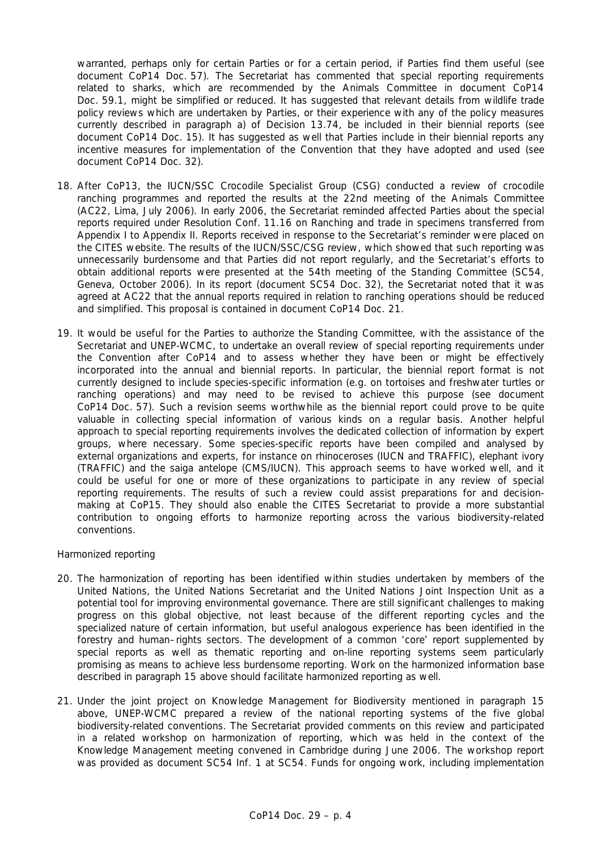warranted, perhaps only for certain Parties or for a certain period, if Parties find them useful (see document CoP14 Doc. 57). The Secretariat has commented that special reporting requirements related to sharks, which are recommended by the Animals Committee in document CoP14 Doc. 59.1, might be simplified or reduced. It has suggested that relevant details from wildlife trade policy reviews which are undertaken by Parties, or their experience with any of the policy measures currently described in paragraph a) of Decision 13.74, be included in their biennial reports (see document CoP14 Doc. 15). It has suggested as well that Parties include in their biennial reports any incentive measures for implementation of the Convention that they have adopted and used (see document CoP14 Doc. 32).

- 18. After CoP13, the IUCN/SSC Crocodile Specialist Group (CSG) conducted a review of crocodile ranching programmes and reported the results at the 22nd meeting of the Animals Committee (AC22, Lima, July 2006). In early 2006, the Secretariat reminded affected Parties about the special reports required under Resolution Conf. 11.16 on Ranching and trade in specimens transferred from Appendix I to Appendix II. Reports received in response to the Secretariat's reminder were placed on the CITES website. The results of the IUCN/SSC/CSG review, which showed that such reporting was unnecessarily burdensome and that Parties did not report regularly, and the Secretariat's efforts to obtain additional reports were presented at the 54th meeting of the Standing Committee (SC54, Geneva, October 2006). In its report (document SC54 Doc. 32), the Secretariat noted that it was agreed at AC22 that the annual reports required in relation to ranching operations should be reduced and simplified. This proposal is contained in document CoP14 Doc. 21.
- 19. It would be useful for the Parties to authorize the Standing Committee, with the assistance of the Secretariat and UNEP-WCMC, to undertake an overall review of special reporting requirements under the Convention after CoP14 and to assess whether they have been or might be effectively incorporated into the annual and biennial reports. In particular, the biennial report format is not currently designed to include species-specific information (e.g. on tortoises and freshwater turtles or ranching operations) and may need to be revised to achieve this purpose (see document CoP14 Doc. 57). Such a revision seems worthwhile as the biennial report could prove to be quite valuable in collecting special information of various kinds on a regular basis. Another helpful approach to special reporting requirements involves the dedicated collection of information by expert groups, where necessary. Some species-specific reports have been compiled and analysed by external organizations and experts, for instance on rhinoceroses (IUCN and TRAFFIC), elephant ivory (TRAFFIC) and the saiga antelope (CMS/IUCN). This approach seems to have worked well, and it could be useful for one or more of these organizations to participate in any review of special reporting requirements. The results of such a review could assist preparations for and decisionmaking at CoP15. They should also enable the CITES Secretariat to provide a more substantial contribution to ongoing efforts to harmonize reporting across the various biodiversity-related conventions.

### *Harmonized reporting*

- 20. The harmonization of reporting has been identified within studies undertaken by members of the United Nations, the United Nations Secretariat and the United Nations Joint Inspection Unit as a potential tool for improving environmental governance. There are still significant challenges to making progress on this global objective, not least because of the different reporting cycles and the specialized nature of certain information, but useful analogous experience has been identified in the forestry and human–rights sectors. The development of a common 'core' report supplemented by special reports as well as thematic reporting and on-line reporting systems seem particularly promising as means to achieve less burdensome reporting. Work on the harmonized information base described in paragraph 15 above should facilitate harmonized reporting as well.
- 21. Under the joint project on Knowledge Management for Biodiversity mentioned in paragraph 15 above, UNEP-WCMC prepared a review of the national reporting systems of the five global biodiversity-related conventions. The Secretariat provided comments on this review and participated in a related workshop on harmonization of reporting, which was held in the context of the Knowledge Management meeting convened in Cambridge during June 2006. The workshop report was provided as document SC54 Inf. 1 at SC54. Funds for ongoing work, including implementation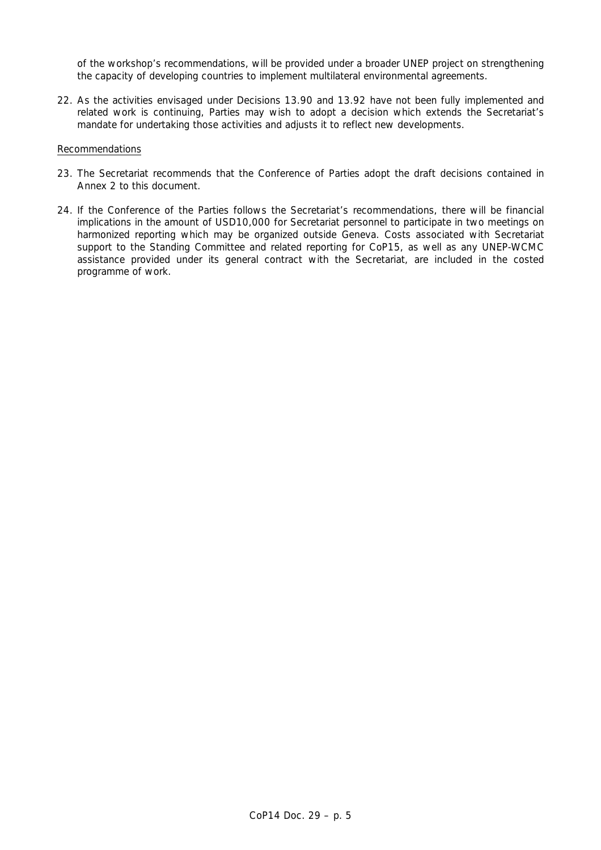of the workshop's recommendations, will be provided under a broader UNEP project on strengthening the capacity of developing countries to implement multilateral environmental agreements.

22. As the activities envisaged under Decisions 13.90 and 13.92 have not been fully implemented and related work is continuing, Parties may wish to adopt a decision which extends the Secretariat's mandate for undertaking those activities and adjusts it to reflect new developments.

### Recommendations

- 23. The Secretariat recommends that the Conference of Parties adopt the draft decisions contained in Annex 2 to this document.
- 24. If the Conference of the Parties follows the Secretariat's recommendations, there will be financial implications in the amount of USD10,000 for Secretariat personnel to participate in two meetings on harmonized reporting which may be organized outside Geneva. Costs associated with Secretariat support to the Standing Committee and related reporting for CoP15, as well as any UNEP-WCMC assistance provided under its general contract with the Secretariat, are included in the costed programme of work.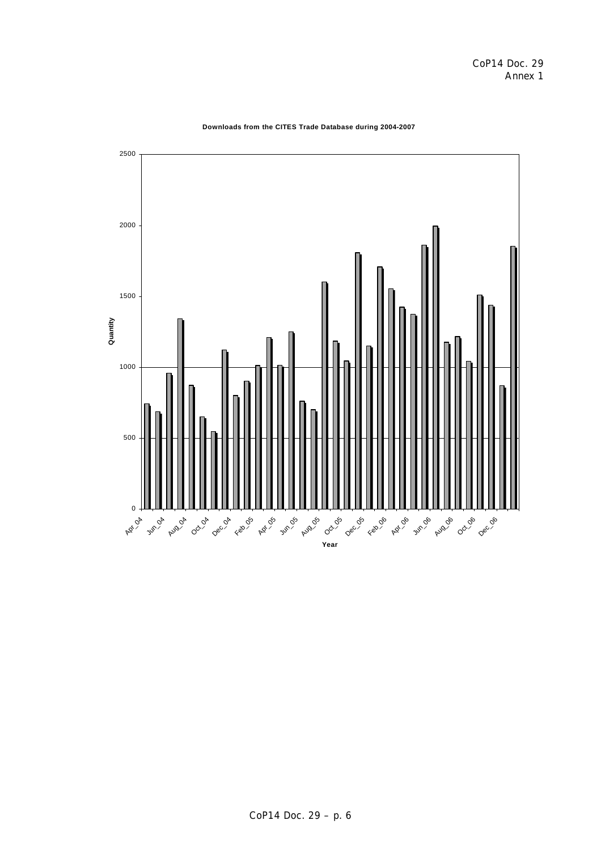

### **Downloads from the CITES Trade Database during 2004-2007**